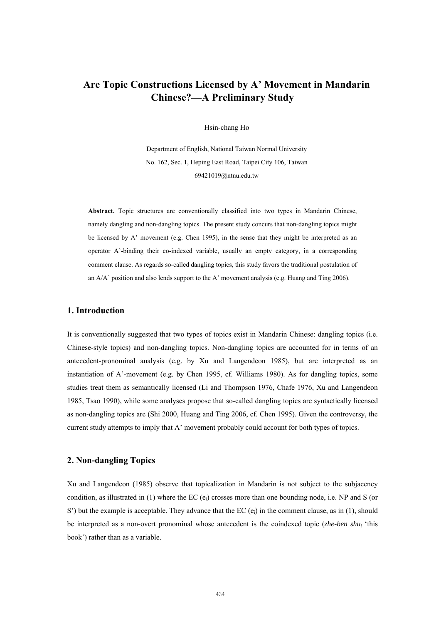# **Are Topic Constructions Licensed by A' Movement in Mandarin Chinese?—A Preliminary Study**

Hsin-chang Ho

Department of English, National Taiwan Normal University No. 162, Sec. 1, Heping East Road, Taipei City 106, Taiwan [69421019@ntnu.edu.tw](mailto:69421019@ntnu.edu.tw)

**Abstract.** Topic structures are conventionally classified into two types in Mandarin Chinese, namely dangling and non-dangling topics. The present study concurs that non-dangling topics might be licensed by A' movement (e.g. Chen 1995), in the sense that they might be interpreted as an operator A'-binding their co-indexed variable, usually an empty category, in a corresponding comment clause. As regards so-called dangling topics, this study favors the traditional postulation of an A/A' position and also lends support to the A' movement analysis (e.g. Huang and Ting 2006).

## **1. Introduction**

It is conventionally suggested that two types of topics exist in Mandarin Chinese: dangling topics (i.e. Chinese-style topics) and non-dangling topics. Non-dangling topics are accounted for in terms of an antecedent-pronominal analysis (e.g. by Xu and Langendeon 1985), but are interpreted as an instantiation of A'-movement (e.g. by Chen 1995, cf. Williams 1980). As for dangling topics, some studies treat them as semantically licensed (Li and Thompson 1976, Chafe 1976, Xu and Langendeon 1985, Tsao 1990), while some analyses propose that so-called dangling topics are syntactically licensed as non-dangling topics are (Shi 2000, Huang and Ting 2006, cf. Chen 1995). Given the controversy, the current study attempts to imply that A' movement probably could account for both types of topics.

### **2. Non-dangling Topics**

Xu and Langendeon (1985) observe that topicalization in Mandarin is not subject to the subjacency condition, as illustrated in (1) where the EC  $(e_i)$  crosses more than one bounding node, i.e. NP and S (or S') but the example is acceptable. They advance that the EC  $(e_i)$  in the comment clause, as in (1), should be interpreted as a non-overt pronominal whose antecedent is the coindexed topic (*zhe-ben shui* 'this book') rather than as a variable.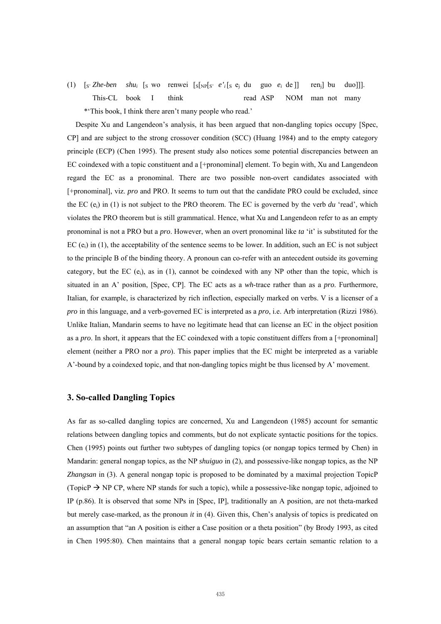(1)  $[s \leq 2he-ben \leq shu_i \leq [s \leq 2]$  is vorticlear in  $[s]_{NP}[s \leq e_i \leq s]$  and  $[e \leq 2]$  is  $[e \leq 2]$  if  $[e \leq 2]$  is  $[e \leq 2]$  if  $[e \leq 2]$  is  $[e \leq 2]$  if  $[e \leq 2]$  if  $[e \leq 2]$  is  $[e \leq 2]$  if  $[e \leq 2]$  if  $[e \leq 2]$  if  $[e \leq$ This-CL book I think read ASP NOM man not many \*'This book, I think there aren't many people who read.'

Despite Xu and Langendeon's analysis, it has been argued that non-dangling topics occupy [Spec, CP] and are subject to the strong crossover condition (SCC) (Huang 1984) and to the empty category principle (ECP) (Chen 1995). The present study also notices some potential discrepancies between an EC coindexed with a topic constituent and a [+pronominal] element. To begin with, Xu and Langendeon regard the EC as a pronominal. There are two possible non-overt candidates associated with [+pronominal], viz. *pro* and PRO. It seems to turn out that the candidate PRO could be excluded, since the EC  $(e_i)$  in (1) is not subject to the PRO theorem. The EC is governed by the verb *du* 'read', which violates the PRO theorem but is still grammatical. Hence, what Xu and Langendeon refer to as an empty pronominal is not a PRO but a *pro*. However, when an overt pronominal like *ta* 'it' is substituted for the EC  $(e_i)$  in (1), the acceptability of the sentence seems to be lower. In addition, such an EC is not subject to the principle B of the binding theory. A pronoun can co-refer with an antecedent outside its governing category, but the EC  $(e_i)$ , as in (1), cannot be coindexed with any NP other than the topic, which is situated in an A' position, [Spec, CP]. The EC acts as a *wh*-trace rather than as a *pro*. Furthermore, Italian, for example, is characterized by rich inflection, especially marked on verbs. V is a licenser of a *pro* in this language, and a verb-governed EC is interpreted as a *pro*, i.e. Arb interpretation (Rizzi 1986). Unlike Italian, Mandarin seems to have no legitimate head that can license an EC in the object position as a *pro*. In short, it appears that the EC coindexed with a topic constituent differs from a [+pronominal] element (neither a PRO nor a *pro*). This paper implies that the EC might be interpreted as a variable A'-bound by a coindexed topic, and that non-dangling topics might be thus licensed by A' movement.

### **3. So-called Dangling Topics**

As far as so-called dangling topics are concerned, Xu and Langendeon (1985) account for semantic relations between dangling topics and comments, but do not explicate syntactic positions for the topics. Chen (1995) points out further two subtypes of dangling topics (or nongap topics termed by Chen) in Mandarin: general nongap topics, as the NP *shuiguo* in (2), and possessive-like nongap topics, as the NP *Zhangsan* in (3). A general nongap topic is proposed to be dominated by a maximal projection TopicP (TopicP  $\rightarrow$  NP CP, where NP stands for such a topic), while a possessive-like nongap topic, adjoined to IP (p.86). It is observed that some NPs in [Spec, IP], traditionally an A position, are not theta-marked but merely case-marked, as the pronoun *it* in (4). Given this, Chen's analysis of topics is predicated on an assumption that "an A position is either a Case position or a theta position" (by Brody 1993, as cited in Chen 1995:80). Chen maintains that a general nongap topic bears certain semantic relation to a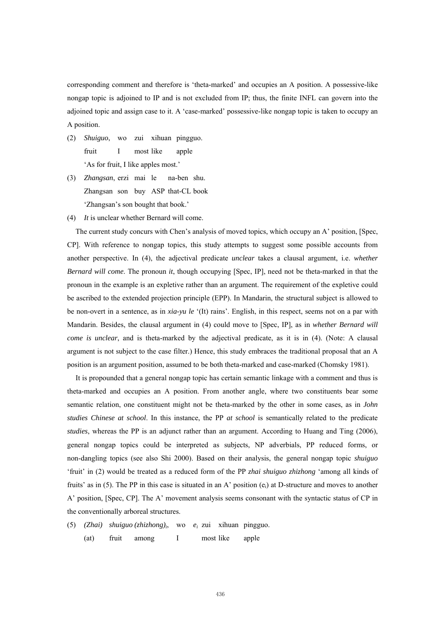corresponding comment and therefore is 'theta-marked' and occupies an A position. A possessive-like nongap topic is adjoined to IP and is not excluded from IP; thus, the finite INFL can govern into the adjoined topic and assign case to it. A 'case-marked' possessive-like nongap topic is taken to occupy an A position.

- (2) *Shuiguo*, wo zui xihuan pingguo. fruit I most like apple 'As for fruit, I like apples most.'
- (3) *Zhangsan*, erzi mai le na-ben shu. Zhangsan son buy ASP that-CL book 'Zhangsan's son bought that book.'
- (4) *It* is unclear whether Bernard will come.

The current study concurs with Chen's analysis of moved topics, which occupy an A' position, [Spec, CP]. With reference to nongap topics, this study attempts to suggest some possible accounts from another perspective. In (4), the adjectival predicate *unclear* takes a clausal argument, i.e. *whether Bernard will come*. The pronoun *it*, though occupying [Spec, IP], need not be theta-marked in that the pronoun in the example is an expletive rather than an argument. The requirement of the expletive could be ascribed to the extended projection principle (EPP). In Mandarin, the structural subject is allowed to be non-overt in a sentence, as in *xia-yu le* '(It) rains'. English, in this respect, seems not on a par with Mandarin. Besides, the clausal argument in (4) could move to [Spec, IP], as in *whether Bernard will come is unclear*, and is theta-marked by the adjectival predicate, as it is in (4). (Note: A clausal argument is not subject to the case filter.) Hence, this study embraces the traditional proposal that an A position is an argument position, assumed to be both theta-marked and case-marked (Chomsky 1981).

It is propounded that a general nongap topic has certain semantic linkage with a comment and thus is theta-marked and occupies an A position. From another angle, where two constituents bear some semantic relation, one constituent might not be theta-marked by the other in some cases, as in *John studies Chinese at school*. In this instance, the PP *at school* is semantically related to the predicate *studies*, whereas the PP is an adjunct rather than an argument. According to Huang and Ting (2006), general nongap topics could be interpreted as subjects, NP adverbials, PP reduced forms, or non-dangling topics (see also Shi 2000). Based on their analysis, the general nongap topic *shuiguo* 'fruit' in (2) would be treated as a reduced form of the PP *zhai shuiguo zhizhong* 'among all kinds of fruits' as in (5). The PP in this case is situated in an A' position (ei) at D-structure and moves to another A' position, [Spec, CP]. The A' movement analysis seems consonant with the syntactic status of CP in the conventionally arboreal structures.

- (5) *(Zhai) shuiguo (zhizhong)i*, wo *ei* zui xihuan pingguo.
	- (at) fruit among I most like apple